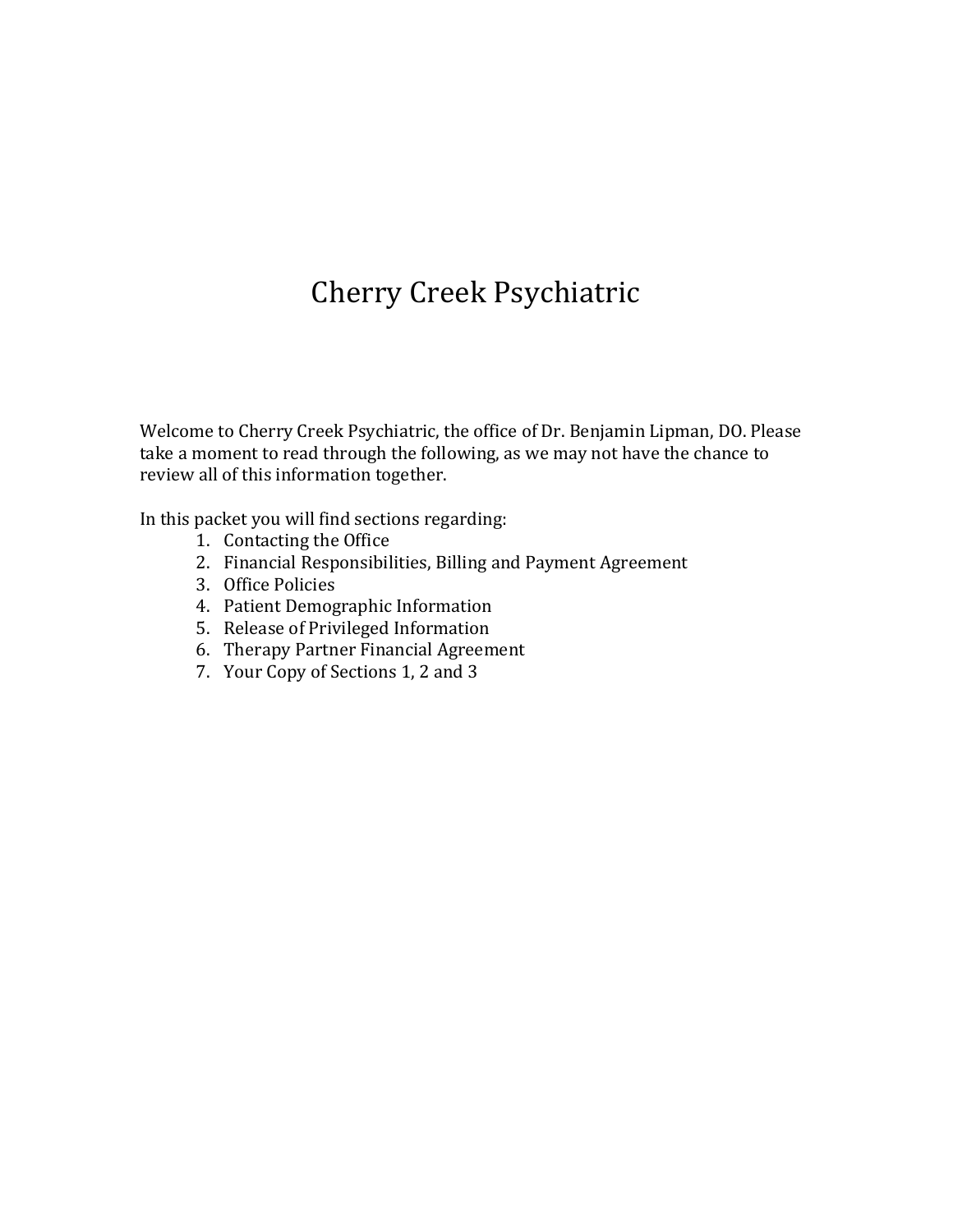# Cherry Creek Psychiatric

Welcome to Cherry Creek Psychiatric, the office of Dr. Benjamin Lipman, DO. Please take a moment to read through the following, as we may not have the chance to review all of this information together.

In this packet you will find sections regarding:

- 1. Contacting the Office
- 2. Financial Responsibilities, Billing and Payment Agreement
- 3. Office Policies
- 4. Patient Demographic Information
- 5. Release of Privileged Information
- 6. Therapy Partner Financial Agreement
- 7. Your Copy of Sections 1, 2 and 3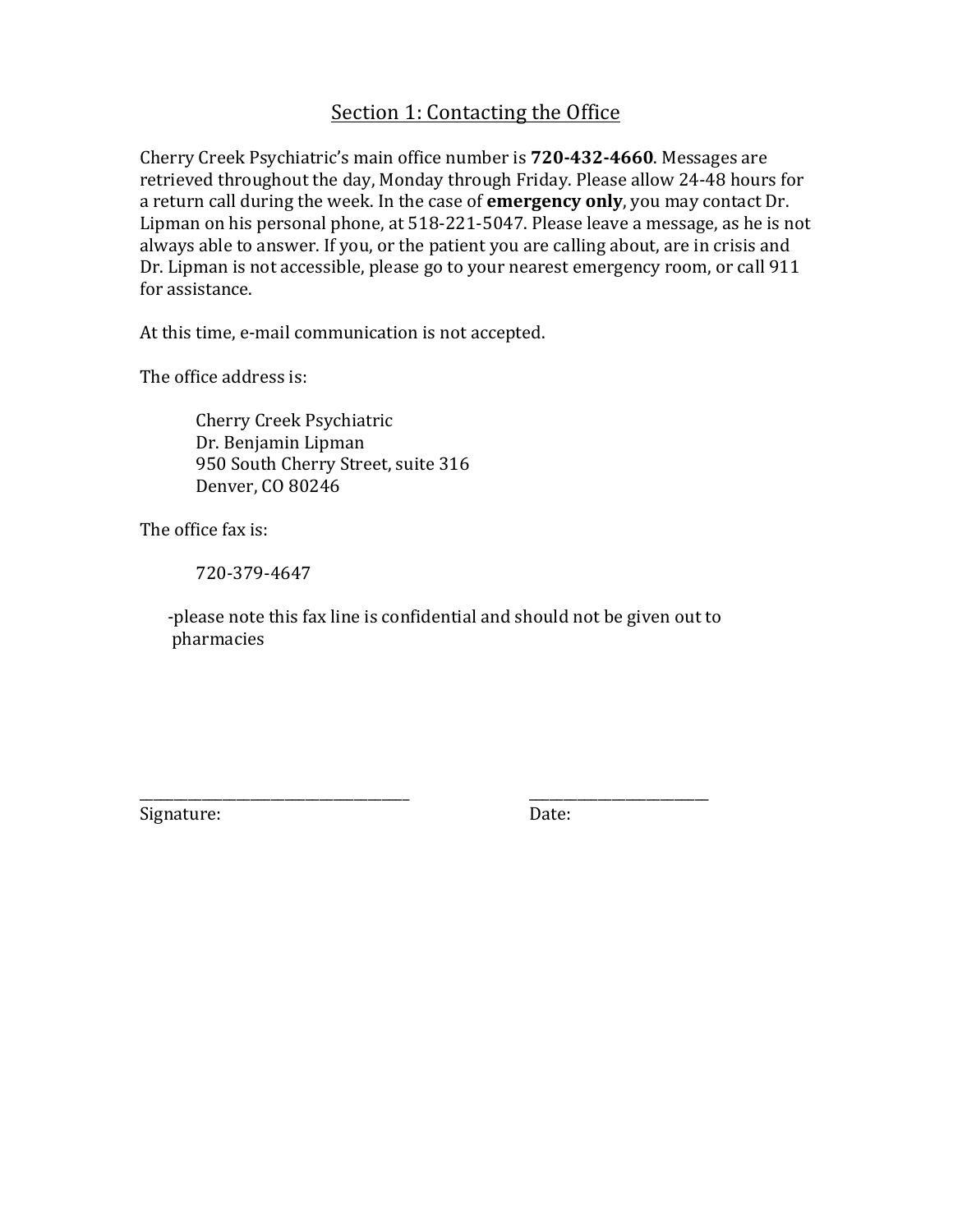### Section 1: Contacting the Office

Cherry Creek Psychiatric's main office number is **720-432-4660**. Messages are retrieved throughout the day, Monday through Friday. Please allow 24-48 hours for a return call during the week. In the case of **emergency only**, you may contact Dr. Lipman on his personal phone, at  $518-221-5047$ . Please leave a message, as he is not always able to answer. If you, or the patient you are calling about, are in crisis and Dr. Lipman is not accessible, please go to your nearest emergency room, or call 911 for assistance.

At this time, e-mail communication is not accepted.

The office address is:

Cherry Creek Psychiatric Dr. Benjamin Lipman 950 South Cherry Street, suite 316 Denver, CO 80246

The office fax is:

720-379-4647

-please note this fax line is confidential and should not be given out to pharmacies

\_\_\_\_\_\_\_\_\_\_\_\_\_\_\_\_\_\_\_\_\_\_\_\_\_\_\_\_\_\_\_\_\_\_\_\_\_\_\_ \_\_\_\_\_\_\_\_\_\_\_\_\_\_\_\_\_\_\_\_\_\_\_\_\_\_

Signature: Date: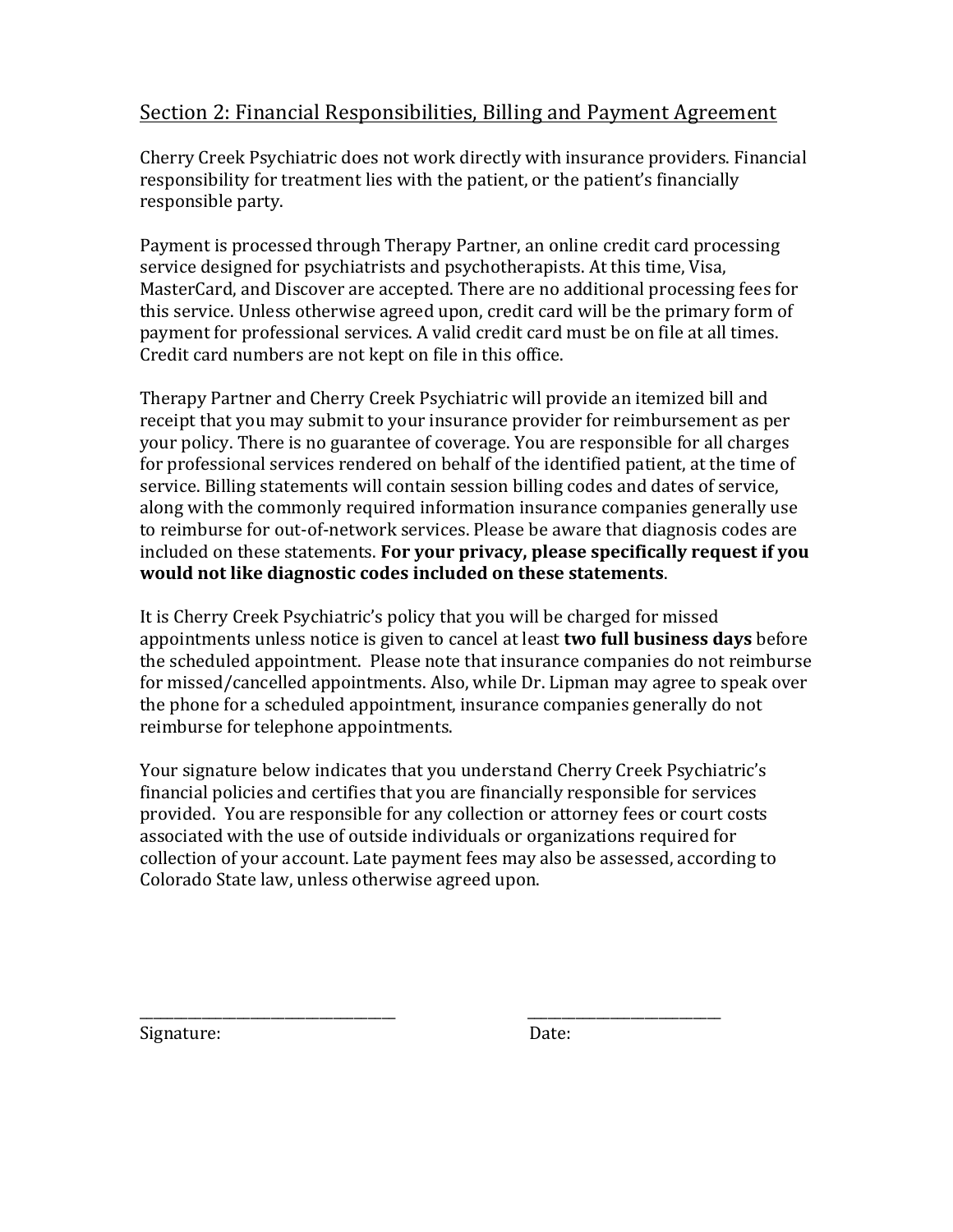### Section 2: Financial Responsibilities, Billing and Payment Agreement

Cherry Creek Psychiatric does not work directly with insurance providers. Financial responsibility for treatment lies with the patient, or the patient's financially responsible party.

Payment is processed through Therapy Partner, an online credit card processing service designed for psychiatrists and psychotherapists. At this time, Visa, MasterCard, and Discover are accepted. There are no additional processing fees for this service. Unless otherwise agreed upon, credit card will be the primary form of payment for professional services. A valid credit card must be on file at all times. Credit card numbers are not kept on file in this office.

Therapy Partner and Cherry Creek Psychiatric will provide an itemized bill and receipt that you may submit to your insurance provider for reimbursement as per your policy. There is no guarantee of coverage. You are responsible for all charges for professional services rendered on behalf of the identified patient, at the time of service. Billing statements will contain session billing codes and dates of service, along with the commonly required information insurance companies generally use to reimburse for out-of-network services. Please be aware that diagnosis codes are included on these statements. **For your privacy, please specifically request if you** would not like diagnostic codes included on these statements.

It is Cherry Creek Psychiatric's policy that you will be charged for missed appointments unless notice is given to cancel at least **two full business days** before the scheduled appointment. Please note that insurance companies do not reimburse for missed/cancelled appointments. Also, while Dr. Lipman may agree to speak over the phone for a scheduled appointment, insurance companies generally do not reimburse for telephone appointments.

Your signature below indicates that you understand Cherry Creek Psychiatric's financial policies and certifies that you are financially responsible for services provided. You are responsible for any collection or attorney fees or court costs associated with the use of outside individuals or organizations required for collection of your account. Late payment fees may also be assessed, according to Colorado State law, unless otherwise agreed upon.

Signature: Date:

\_\_\_\_\_\_\_\_\_\_\_\_\_\_\_\_\_\_\_\_\_\_\_\_\_\_\_\_\_\_\_\_\_\_\_\_\_ \_\_\_\_\_\_\_\_\_\_\_\_\_\_\_\_\_\_\_\_\_\_\_\_\_\_\_\_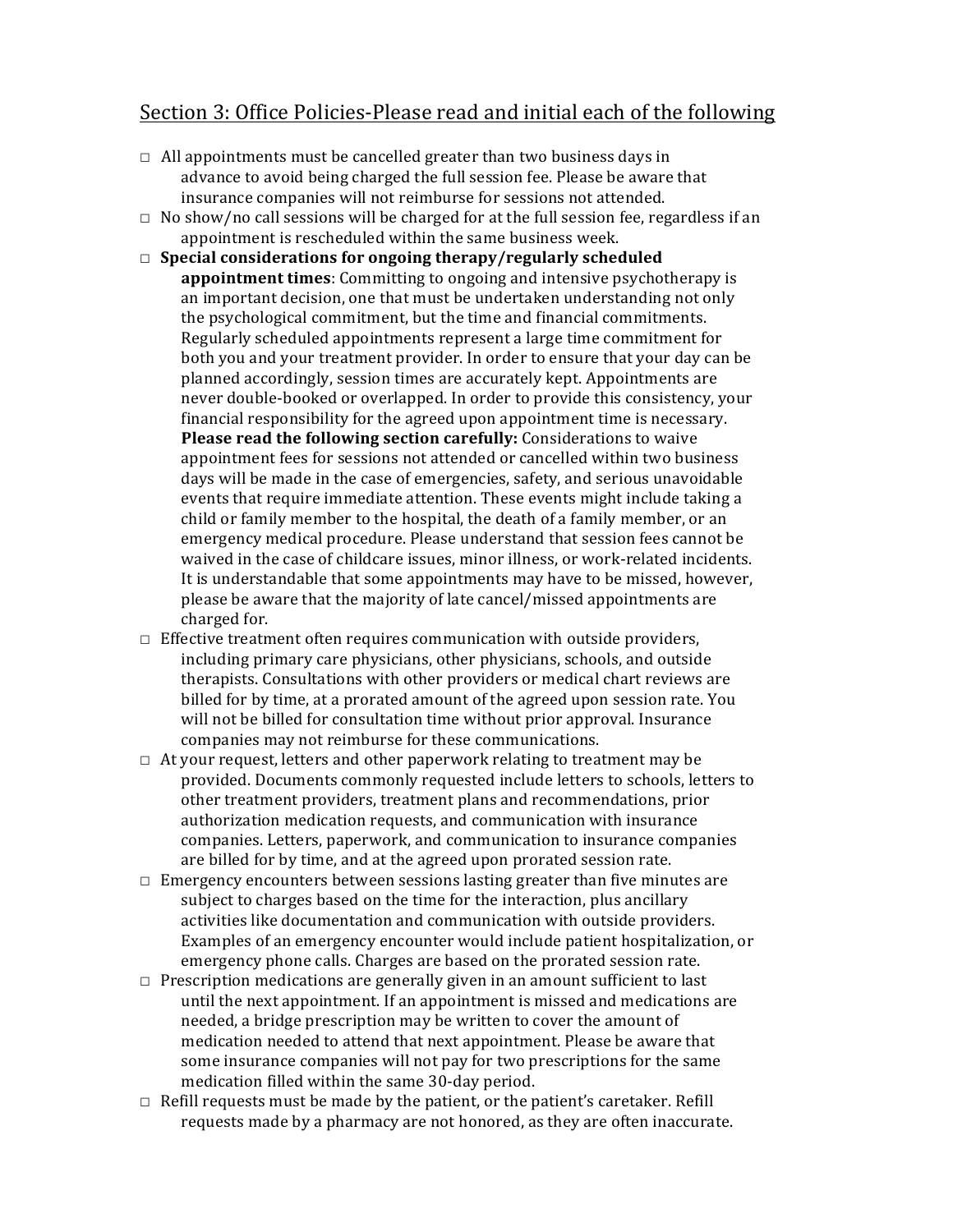### Section 3: Office Policies-Please read and initial each of the following

- $\Box$  All appointments must be cancelled greater than two business days in advance to avoid being charged the full session fee. Please be aware that insurance companies will not reimburse for sessions not attended.
- $\Box$  No show/no call sessions will be charged for at the full session fee, regardless if an appointment is rescheduled within the same business week.
- □ Special considerations for ongoing therapy/regularly scheduled **appointment times**: Committing to ongoing and intensive psychotherapy is an important decision, one that must be undertaken understanding not only the psychological commitment, but the time and financial commitments. Regularly scheduled appointments represent a large time commitment for both you and your treatment provider. In order to ensure that your day can be planned accordingly, session times are accurately kept. Appointments are never double-booked or overlapped. In order to provide this consistency, your financial responsibility for the agreed upon appointment time is necessary. **Please read the following section carefully:** Considerations to waive appointment fees for sessions not attended or cancelled within two business days will be made in the case of emergencies, safety, and serious unavoidable events that require immediate attention. These events might include taking a child or family member to the hospital, the death of a family member, or an emergency medical procedure. Please understand that session fees cannot be waived in the case of childcare issues, minor illness, or work-related incidents. It is understandable that some appointments may have to be missed, however, please be aware that the majority of late cancel/missed appointments are charged for.
- $\Box$  Effective treatment often requires communication with outside providers, including primary care physicians, other physicians, schools, and outside therapists. Consultations with other providers or medical chart reviews are billed for by time, at a prorated amount of the agreed upon session rate. You will not be billed for consultation time without prior approval. Insurance companies may not reimburse for these communications.
- $\Box$  At your request, letters and other paperwork relating to treatment may be provided. Documents commonly requested include letters to schools, letters to other treatment providers, treatment plans and recommendations, prior authorization medication requests, and communication with insurance companies. Letters, paperwork, and communication to insurance companies are billed for by time, and at the agreed upon prorated session rate.
- $\Box$  Emergency encounters between sessions lasting greater than five minutes are subject to charges based on the time for the interaction, plus ancillary activities like documentation and communication with outside providers. Examples of an emergency encounter would include patient hospitalization, or emergency phone calls. Charges are based on the prorated session rate.
- $\Box$  Prescription medications are generally given in an amount sufficient to last until the next appointment. If an appointment is missed and medications are needed, a bridge prescription may be written to cover the amount of medication needed to attend that next appointment. Please be aware that some insurance companies will not pay for two prescriptions for the same medication filled within the same 30-day period.
- $\Box$  Refill requests must be made by the patient, or the patient's caretaker. Refill requests made by a pharmacy are not honored, as they are often inaccurate.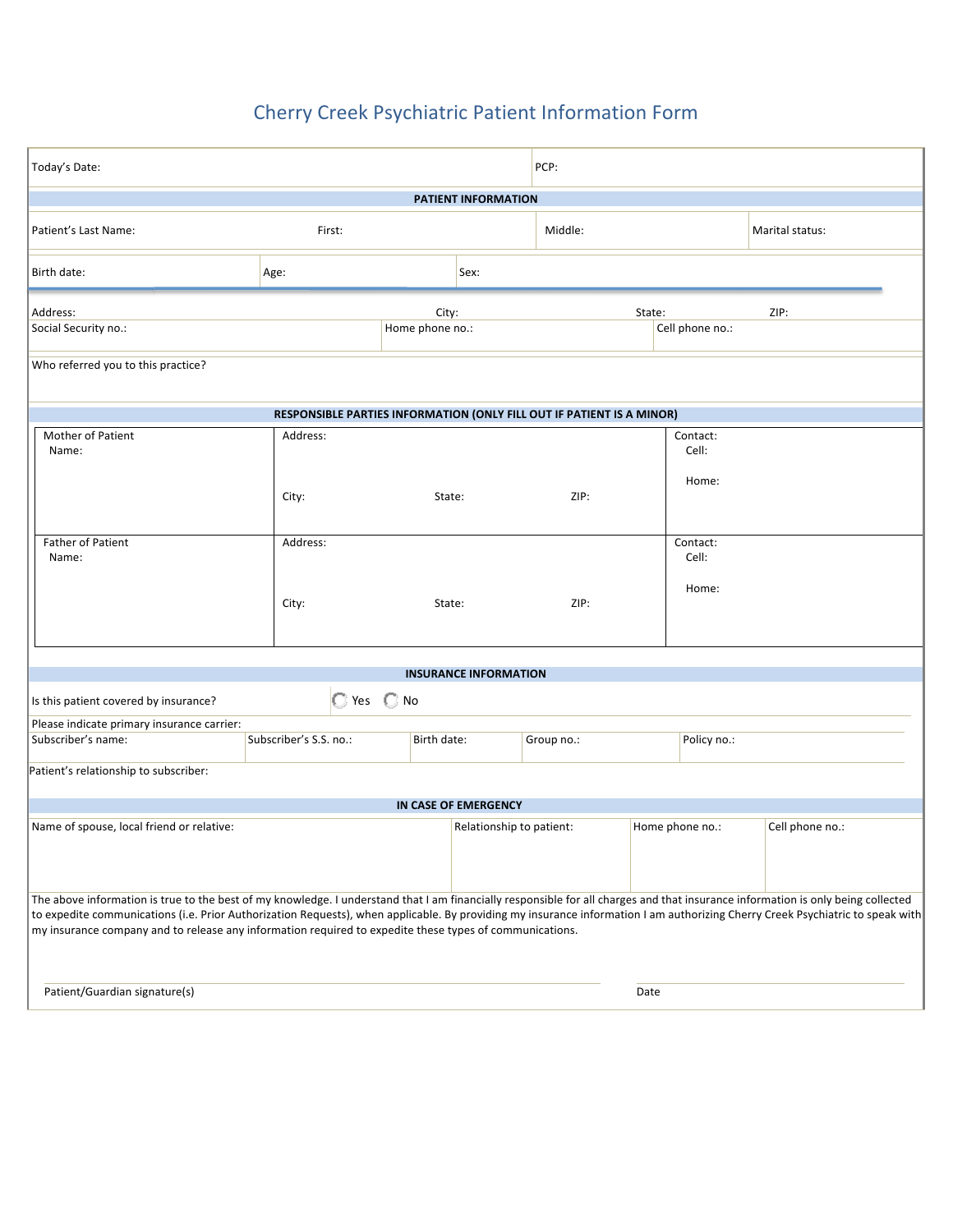## Cherry Creek Psychiatric Patient Information Form

| Today's Date:                                                                                                                                                                                                                                                                                                                                                                                                                                                                 |                   |        |                          | PCP:                               |        |                            |                 |  |  |
|-------------------------------------------------------------------------------------------------------------------------------------------------------------------------------------------------------------------------------------------------------------------------------------------------------------------------------------------------------------------------------------------------------------------------------------------------------------------------------|-------------------|--------|--------------------------|------------------------------------|--------|----------------------------|-----------------|--|--|
| <b>PATIENT INFORMATION</b>                                                                                                                                                                                                                                                                                                                                                                                                                                                    |                   |        |                          |                                    |        |                            |                 |  |  |
| Patient's Last Name:<br>First:                                                                                                                                                                                                                                                                                                                                                                                                                                                |                   |        |                          | Middle:                            |        |                            | Marital status: |  |  |
| Birth date:                                                                                                                                                                                                                                                                                                                                                                                                                                                                   | Age:              | Sex:   |                          |                                    |        |                            |                 |  |  |
| City:<br>Address:<br>Social Security no.:<br>Home phone no.:                                                                                                                                                                                                                                                                                                                                                                                                                  |                   |        |                          |                                    | State: | Cell phone no.:            | ZIP:            |  |  |
| Who referred you to this practice?                                                                                                                                                                                                                                                                                                                                                                                                                                            |                   |        |                          |                                    |        |                            |                 |  |  |
| RESPONSIBLE PARTIES INFORMATION (ONLY FILL OUT IF PATIENT IS A MINOR)                                                                                                                                                                                                                                                                                                                                                                                                         |                   |        |                          |                                    |        |                            |                 |  |  |
| Mother of Patient<br>Name:                                                                                                                                                                                                                                                                                                                                                                                                                                                    | Address:<br>City: | State: |                          | ZIP:                               |        | Contact:<br>Cell:<br>Home: |                 |  |  |
| <b>Father of Patient</b><br>Name:                                                                                                                                                                                                                                                                                                                                                                                                                                             | Address:<br>City: | State: |                          | Contact:<br>Cell:<br>Home:<br>ZIP: |        |                            |                 |  |  |
|                                                                                                                                                                                                                                                                                                                                                                                                                                                                               |                   |        |                          |                                    |        |                            |                 |  |  |
| <b>INSURANCE INFORMATION</b><br>C Yes C No<br>Is this patient covered by insurance?                                                                                                                                                                                                                                                                                                                                                                                           |                   |        |                          |                                    |        |                            |                 |  |  |
| Please indicate primary insurance carrier:<br>Subscriber's name:<br>Subscriber's S.S. no.:                                                                                                                                                                                                                                                                                                                                                                                    |                   |        | Group no.:               |                                    |        | Policy no.:                |                 |  |  |
| Birth date:<br>Patient's relationship to subscriber:                                                                                                                                                                                                                                                                                                                                                                                                                          |                   |        |                          |                                    |        |                            |                 |  |  |
| IN CASE OF EMERGENCY                                                                                                                                                                                                                                                                                                                                                                                                                                                          |                   |        |                          |                                    |        |                            |                 |  |  |
| Name of spouse, local friend or relative:                                                                                                                                                                                                                                                                                                                                                                                                                                     |                   |        | Relationship to patient: |                                    |        | Home phone no.:            | Cell phone no.: |  |  |
| The above information is true to the best of my knowledge. I understand that I am financially responsible for all charges and that insurance information is only being collected<br>to expedite communications (i.e. Prior Authorization Requests), when applicable. By providing my insurance information I am authorizing Cherry Creek Psychiatric to speak with<br>my insurance company and to release any information required to expedite these types of communications. |                   |        |                          |                                    |        |                            |                 |  |  |
| Patient/Guardian signature(s)                                                                                                                                                                                                                                                                                                                                                                                                                                                 |                   |        |                          |                                    | Date   |                            |                 |  |  |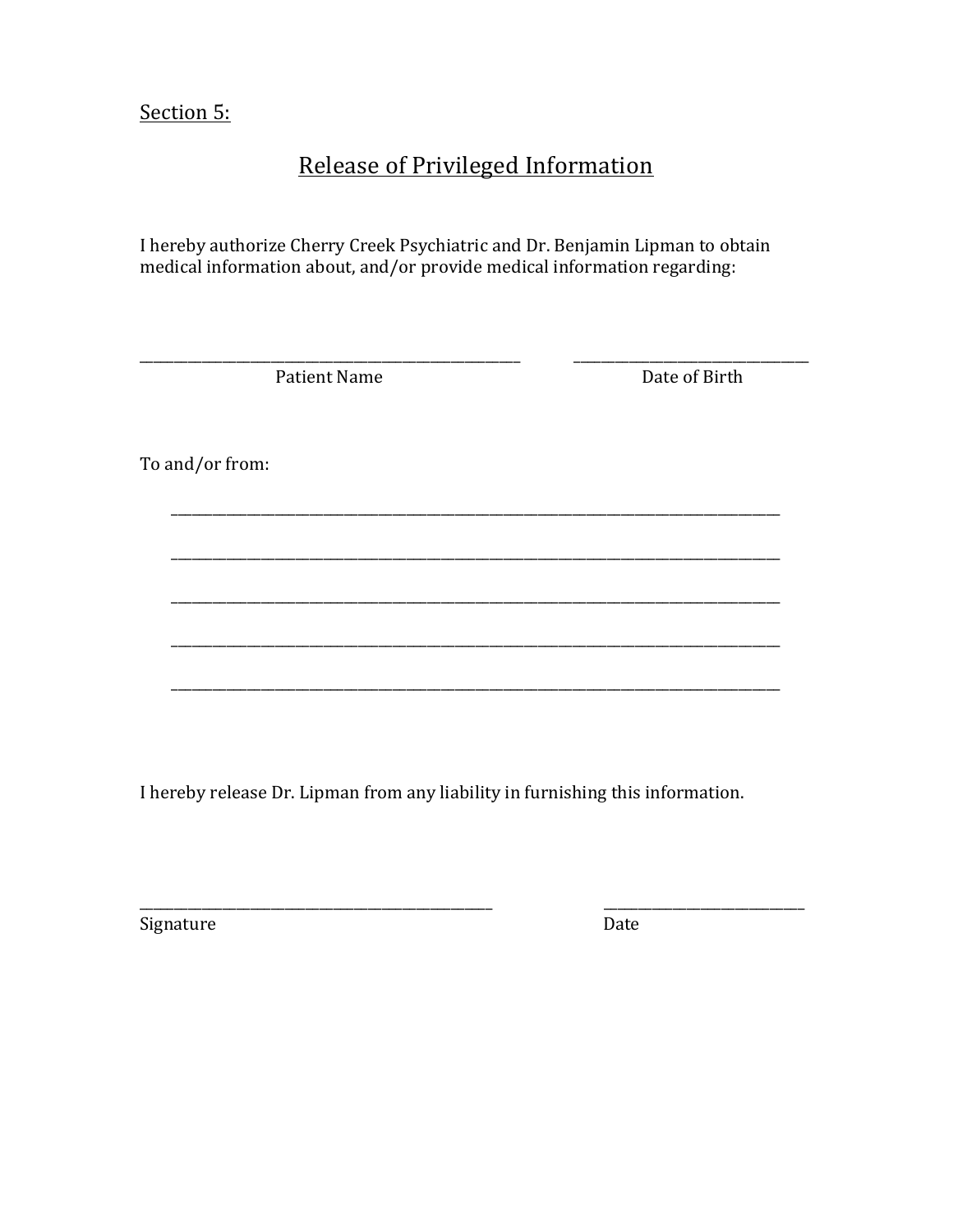Section 5:

## **Release of Privileged Information**

I hereby authorize Cherry Creek Psychiatric and Dr. Benjamin Lipman to obtain medical information about, and/or provide medical information regarding:

Patient Name

Date of Birth

To and/or from:

I hereby release Dr. Lipman from any liability in furnishing this information.

Signature

Date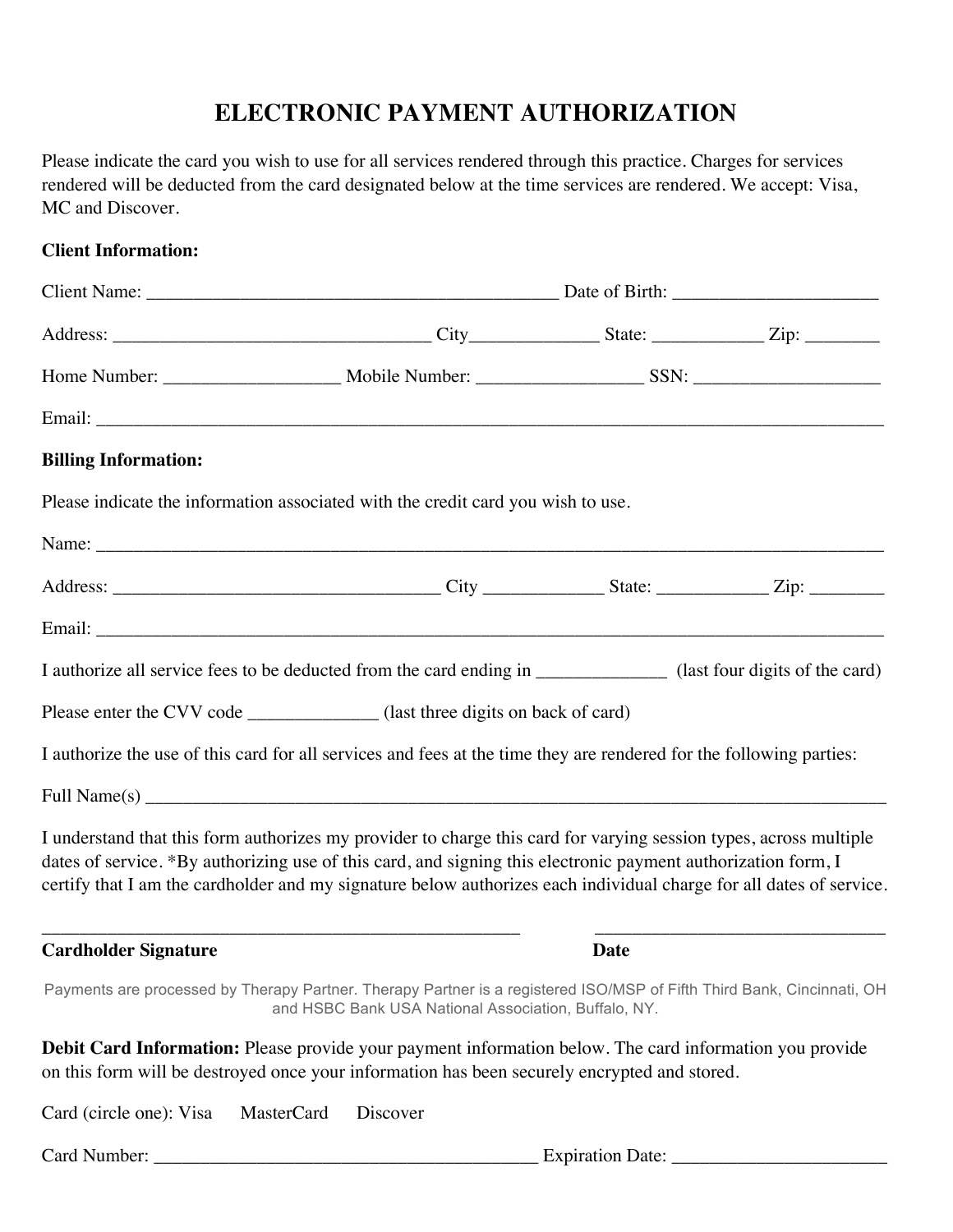## **ELECTRONIC PAYMENT AUTHORIZATION**

Please indicate the card you wish to use for all services rendered through this practice. Charges for services rendered will be deducted from the card designated below at the time services are rendered. We accept: Visa, MC and Discover.

#### **Client Information:**

| <b>Billing Information:</b>        |  |                                                                                                                                                                                                                                                                                                                                                           |             |  |  |  |  |  |  |
|------------------------------------|--|-----------------------------------------------------------------------------------------------------------------------------------------------------------------------------------------------------------------------------------------------------------------------------------------------------------------------------------------------------------|-------------|--|--|--|--|--|--|
|                                    |  | Please indicate the information associated with the credit card you wish to use.                                                                                                                                                                                                                                                                          |             |  |  |  |  |  |  |
|                                    |  |                                                                                                                                                                                                                                                                                                                                                           |             |  |  |  |  |  |  |
|                                    |  |                                                                                                                                                                                                                                                                                                                                                           |             |  |  |  |  |  |  |
|                                    |  |                                                                                                                                                                                                                                                                                                                                                           |             |  |  |  |  |  |  |
|                                    |  | I authorize all service fees to be deducted from the card ending in _____________ (last four digits of the card)                                                                                                                                                                                                                                          |             |  |  |  |  |  |  |
|                                    |  | Please enter the CVV code ______________ (last three digits on back of card)                                                                                                                                                                                                                                                                              |             |  |  |  |  |  |  |
|                                    |  | I authorize the use of this card for all services and fees at the time they are rendered for the following parties:                                                                                                                                                                                                                                       |             |  |  |  |  |  |  |
|                                    |  |                                                                                                                                                                                                                                                                                                                                                           |             |  |  |  |  |  |  |
|                                    |  | I understand that this form authorizes my provider to charge this card for varying session types, across multiple<br>dates of service. *By authorizing use of this card, and signing this electronic payment authorization form, I<br>certify that I am the cardholder and my signature below authorizes each individual charge for all dates of service. |             |  |  |  |  |  |  |
| <b>Cardholder Signature</b>        |  |                                                                                                                                                                                                                                                                                                                                                           | <b>Date</b> |  |  |  |  |  |  |
|                                    |  | Payments are processed by Therapy Partner. Therapy Partner is a registered ISO/MSP of Fifth Third Bank, Cincinnati, OH<br>and HSBC Bank USA National Association, Buffalo, NY.                                                                                                                                                                            |             |  |  |  |  |  |  |
|                                    |  | <b>Debit Card Information:</b> Please provide your payment information below. The card information you provide<br>on this form will be destroyed once your information has been securely encrypted and stored.                                                                                                                                            |             |  |  |  |  |  |  |
| Card (circle one): Visa MasterCard |  | Discover                                                                                                                                                                                                                                                                                                                                                  |             |  |  |  |  |  |  |
|                                    |  |                                                                                                                                                                                                                                                                                                                                                           |             |  |  |  |  |  |  |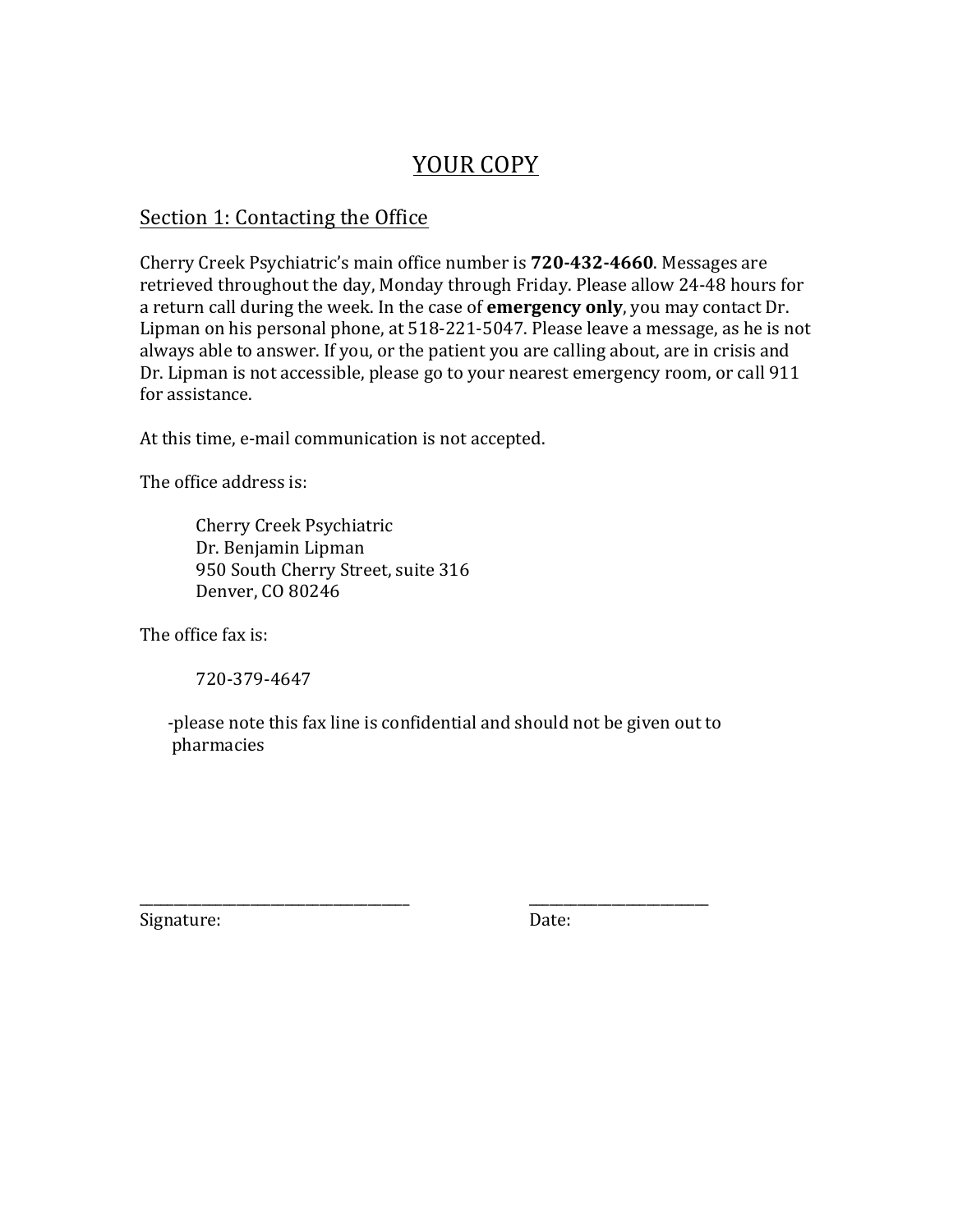## YOUR COPY

### Section 1: Contacting the Office

Cherry Creek Psychiatric's main office number is **720-432-4660**. Messages are retrieved throughout the day, Monday through Friday. Please allow 24-48 hours for a return call during the week. In the case of **emergency only**, you may contact Dr. Lipman on his personal phone, at 518-221-5047. Please leave a message, as he is not always able to answer. If you, or the patient you are calling about, are in crisis and Dr. Lipman is not accessible, please go to your nearest emergency room, or call 911 for assistance.

At this time, e-mail communication is not accepted.

The office address is:

Cherry Creek Psychiatric Dr. Benjamin Lipman 950 South Cherry Street, suite 316 Denver, CO 80246

The office fax is:

720-379-4647

-please note this fax line is confidential and should not be given out to pharmacies

\_\_\_\_\_\_\_\_\_\_\_\_\_\_\_\_\_\_\_\_\_\_\_\_\_\_\_\_\_\_\_\_\_\_\_\_\_\_\_ \_\_\_\_\_\_\_\_\_\_\_\_\_\_\_\_\_\_\_\_\_\_\_\_\_\_

Signature: Date: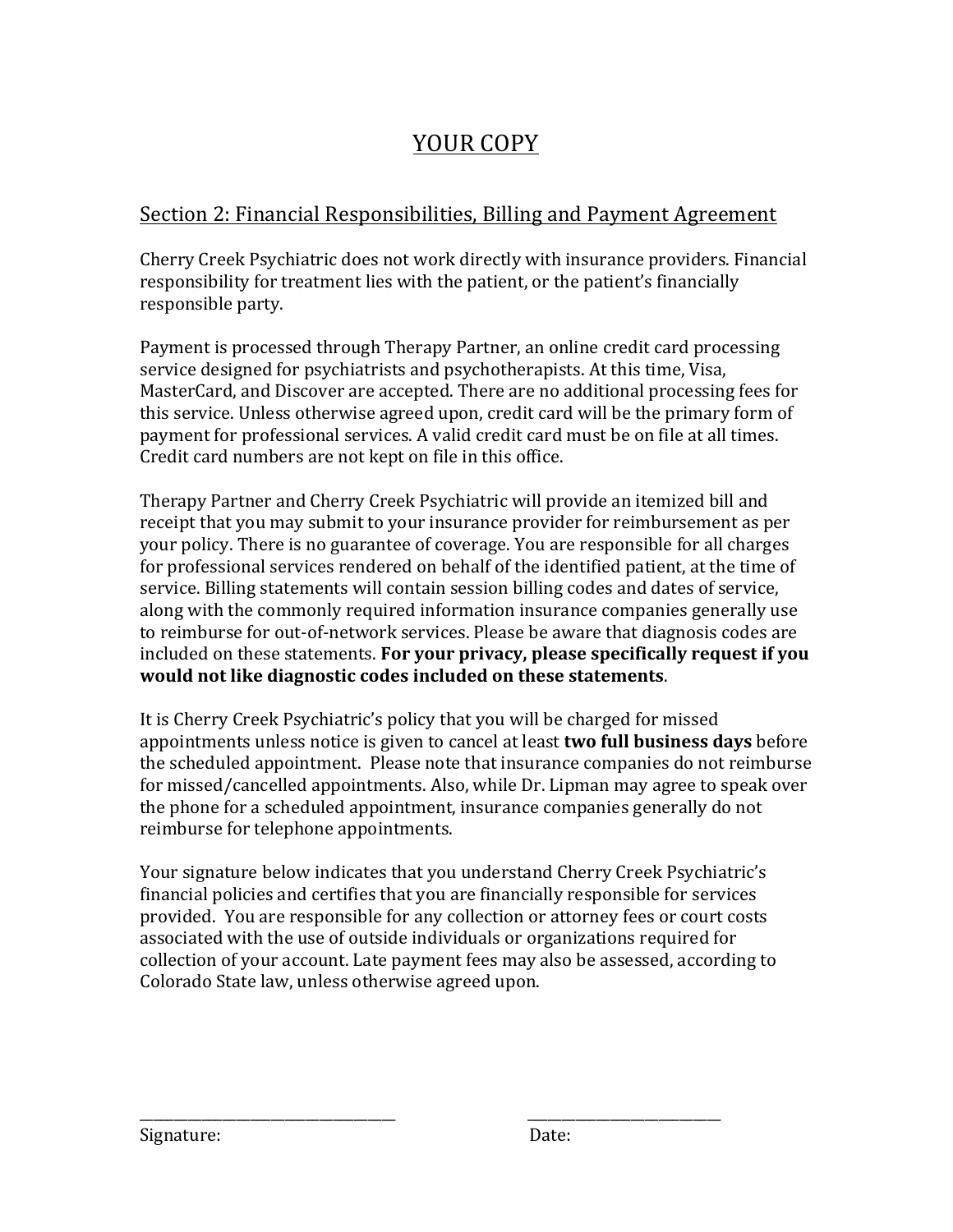## YOUR COPY

## Section 2: Financial Responsibilities, Billing and Payment Agreement

Cherry Creek Psychiatric does not work directly with insurance providers. Financial responsibility for treatment lies with the patient, or the patient's financially responsible party.

Payment is processed through Therapy Partner, an online credit card processing service designed for psychiatrists and psychotherapists. At this time, Visa, MasterCard, and Discover are accepted. There are no additional processing fees for this service. Unless otherwise agreed upon, credit card will be the primary form of payment for professional services. A valid credit card must be on file at all times. Credit card numbers are not kept on file in this office.

Therapy Partner and Cherry Creek Psychiatric will provide an itemized bill and receipt that you may submit to your insurance provider for reimbursement as per your policy. There is no guarantee of coverage. You are responsible for all charges for professional services rendered on behalf of the identified patient, at the time of service. Billing statements will contain session billing codes and dates of service, along with the commonly required information insurance companies generally use to reimburse for out-of-network services. Please be aware that diagnosis codes are included on these statements. For your privacy, please specifically request if you would not like diagnostic codes included on these statements.

It is Cherry Creek Psychiatric's policy that you will be charged for missed appointments unless notice is given to cancel at least **two full business days** before the scheduled appointment. Please note that insurance companies do not reimburse for missed/cancelled appointments. Also, while Dr. Lipman may agree to speak over the phone for a scheduled appointment, insurance companies generally do not reimburse for telephone appointments.

Your signature below indicates that you understand Cherry Creek Psychiatric's financial policies and certifies that you are financially responsible for services provided. You are responsible for any collection or attorney fees or court costs associated with the use of outside individuals or organizations required for collection of your account. Late payment fees may also be assessed, according to Colorado State law, unless otherwise agreed upon.

\_\_\_\_\_\_\_\_\_\_\_\_\_\_\_\_\_\_\_\_\_\_\_\_\_\_\_\_\_\_\_\_\_\_\_\_\_ \_\_\_\_\_\_\_\_\_\_\_\_\_\_\_\_\_\_\_\_\_\_\_\_\_\_\_\_